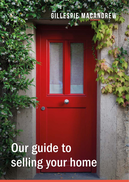## GILLESPIE MACANDREW



# Our guide to selling your home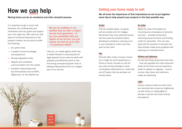## How we can help

Moving home can be an emotional and often stressful process.

It is important to get in touch with someone who understands your motivations and can guide and support you in the right way. With well over 100 years of combined experience in the property market, we are proud to offer the following:

- No upfront fees
- A wealth of local knowledge and experience
- Strong negotiation skills
- Regular and consistent communication from the outset
- Excellent relationships with key third parties such as ESPC, Rightmove, On The Market etc.

We are so confident in our abilities that we offer a unique service level guarantee – if you are unsatisfied with any aspect of our service, you can reduce our fees by up to 10% - no questions asked!

Like you, our estate agency team has a vested interest in ensuring that all legal aspects of your sale are dealt with speedily and efficiently which is why the strong conveyancing team here at Gillespie Macandrew forms an integral part of our service.



### Getting your home ready to sell:

We all know the importance of first impressions so we've put together some tips to help present your property in the best possible way.

#### Garden

Tidy the outside space, cut grass, pull any weeds and trim hedges. Remember that many potential buyers will drive past the property before deciding to schedule a viewing so it's in your interests to make sure they want to see more.

#### Pets

Animals often make a house a home but it might be worth speaking to a friend or family member to care for your pets during viewings to avoid unnecessary distractions or, worse still, put off buyers that are perhaps not animal lovers.

#### De-clutter

Make the most of the space by removing any unnecessary ornaments and toys – consider temporarily removing excess furniture and limiting clutter to essentials. This can also help with the process of moving if you have already made some progress with clearing out unwanted items.

#### Kitchens and bathrooms

It's key that these areas look their best – they are arguably the most important areas of the home and are expensive areas to replace or upgrade – ensure mirrors, tiles, floors and bathroom suites are sparkling.

#### Lights

Ensure entrance halls are well lit and any naturally dark areas are brightened up with lamps or ceiling lights to provide a warmer and more homely atmosphere.